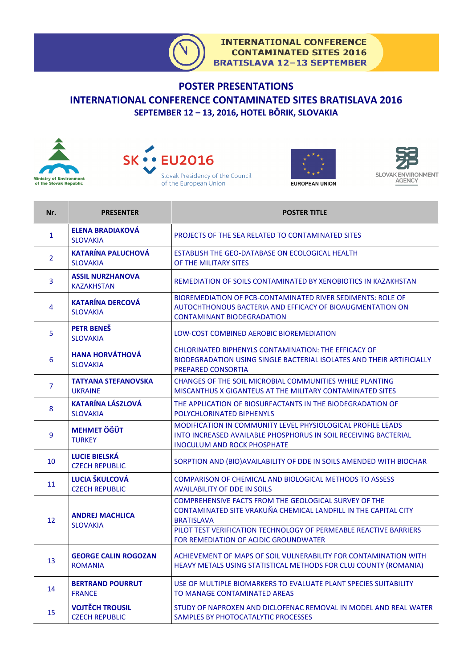## **POSTER PRESENTATIONS INTERNATIONAL CONFERENCE CONTAMINATED SITES BRATISLAVA 2016 SEPTEMBER 12 – 13, 2016, HOTEL BÔRIK, SLOVAKIA**









| Nr.            | <b>PRESENTER</b>                                | <b>POSTER TITLE</b>                                                                                                                                                         |
|----------------|-------------------------------------------------|-----------------------------------------------------------------------------------------------------------------------------------------------------------------------------|
| 1              | <b>ELENA BRADIAKOVÁ</b><br><b>SLOVAKIA</b>      | PROJECTS OF THE SEA RELATED TO CONTAMINATED SITES                                                                                                                           |
| $\overline{2}$ | <b>KATARÍNA PALUCHOVÁ</b><br><b>SLOVAKIA</b>    | ESTABLISH THE GEO-DATABASE ON ECOLOGICAL HEALTH<br>OF THE MILITARY SITES                                                                                                    |
| 3              | <b>ASSIL NURZHANOVA</b><br><b>KAZAKHSTAN</b>    | REMEDIATION OF SOILS CONTAMINATED BY XENOBIOTICS IN KAZAKHSTAN                                                                                                              |
| 4              | <b>KATARÍNA DERCOVÁ</b><br><b>SLOVAKIA</b>      | BIOREMEDIATION OF PCB-CONTAMINATED RIVER SEDIMENTS: ROLE OF<br>AUTOCHTHONOUS BACTERIA AND EFFICACY OF BIOAUGMENTATION ON<br><b>CONTAMINANT BIODEGRADATION</b>               |
| 5              | <b>PETR BENES</b><br><b>SLOVAKIA</b>            | LOW-COST COMBINED AEROBIC BIOREMEDIATION                                                                                                                                    |
| 6              | <b>HANA HORVÁTHOVÁ</b><br><b>SLOVAKIA</b>       | CHLORINATED BIPHENYLS CONTAMINATION: THE EFFICACY OF<br>BIODEGRADATION USING SINGLE BACTERIAL ISOLATES AND THEIR ARTIFICIALLY<br>PREPARED CONSORTIA                         |
| $\overline{7}$ | <b>TATYANA STEFANOVSKA</b><br><b>UKRAINE</b>    | CHANGES OF THE SOIL MICROBIAL COMMUNITIES WHILE PLANTING<br>MISCANTHUS X GIGANTEUS AT THE MILITARY CONTAMINATED SITES                                                       |
| 8              | <b>KATARÍNA LÁSZLOVÁ</b><br><b>SLOVAKIA</b>     | THE APPLICATION OF BIOSURFACTANTS IN THE BIODEGRADATION OF<br>POLYCHLORINATED BIPHENYLS                                                                                     |
| 9              | <b>MEHMET ÖĞÜT</b><br><b>TURKEY</b>             | <b>MODIFICATION IN COMMUNITY LEVEL PHYSIOLOGICAL PROFILE LEADS</b><br>INTO INCREASED AVAILABLE PHOSPHORUS IN SOIL RECEIVING BACTERIAL<br><b>INOCULUM AND ROCK PHOSPHATE</b> |
| 10             | <b>LUCIE BIELSKÁ</b><br><b>CZECH REPUBLIC</b>   | SORPTION AND (BIO) AVAILABILITY OF DDE IN SOILS AMENDED WITH BIOCHAR                                                                                                        |
| 11             | <b>LUCIA ŠKULCOVÁ</b><br><b>CZECH REPUBLIC</b>  | <b>COMPARISON OF CHEMICAL AND BIOLOGICAL METHODS TO ASSESS</b><br><b>AVAILABILITY OF DDE IN SOILS</b>                                                                       |
| 12             | <b>ANDREJ MACHLICA</b><br><b>SLOVAKIA</b>       | COMPREHENSIVE FACTS FROM THE GEOLOGICAL SURVEY OF THE<br>CONTAMINATED SITE VRAKUŇA CHEMICAL LANDFILL IN THE CAPITAL CITY<br><b>BRATISLAVA</b>                               |
|                |                                                 | PILOT TEST VERIFICATION TECHNOLOGY OF PERMEABLE REACTIVE BARRIERS<br>FOR REMEDIATION OF ACIDIC GROUNDWATER                                                                  |
| 13             | <b>GEORGE CALIN ROGOZAN</b><br><b>ROMANIA</b>   | ACHIEVEMENT OF MAPS OF SOIL VULNERABILITY FOR CONTAMINATION WITH<br>HEAVY METALS USING STATISTICAL METHODS FOR CLUJ COUNTY (ROMANIA)                                        |
| 14             | <b>BERTRAND POURRUT</b><br><b>FRANCE</b>        | USE OF MULTIPLE BIOMARKERS TO EVALUATE PLANT SPECIES SUITABILITY<br>TO MANAGE CONTAMINATED AREAS                                                                            |
| 15             | <b>VOJTĚCH TROUSIL</b><br><b>CZECH REPUBLIC</b> | STUDY OF NAPROXEN AND DICLOFENAC REMOVAL IN MODEL AND REAL WATER<br>SAMPLES BY PHOTOCATALYTIC PROCESSES                                                                     |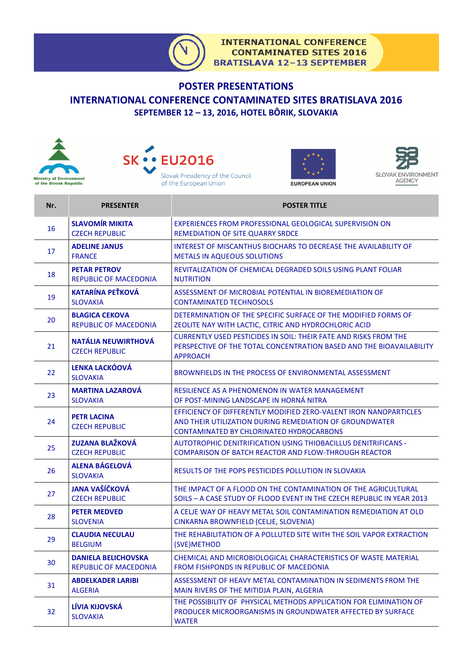

## **POSTER PRESENTATIONS INTERNATIONAL CONFERENCE CONTAMINATED SITES BRATISLAVA 2016 SEPTEMBER 12 – 13, 2016, HOTEL BÔRIK, SLOVAKIA**









| Nr. | <b>PRESENTER</b>                                           | <b>POSTER TITLE</b>                                                                                                                                                      |
|-----|------------------------------------------------------------|--------------------------------------------------------------------------------------------------------------------------------------------------------------------------|
| 16  | <b>SLAVOMÍR MIKITA</b><br><b>CZECH REPUBLIC</b>            | EXPERIENCES FROM PROFESSIONAL GEOLOGICAL SUPERVISION ON<br><b>REMEDIATION OF SITE QUARRY SRDCE</b>                                                                       |
| 17  | <b>ADELINE JANUS</b><br><b>FRANCE</b>                      | <b>INTEREST OF MISCANTHUS BIOCHARS TO DECREASE THE AVAILABILITY OF</b><br><b>METALS IN AQUEOUS SOLUTIONS</b>                                                             |
| 18  | <b>PETAR PETROV</b><br><b>REPUBLIC OF MACEDONIA</b>        | REVITALIZATION OF CHEMICAL DEGRADED SOILS USING PLANT FOLIAR<br><b>NUTRITION</b>                                                                                         |
| 19  | <b>KATARÍNA PEŤKOVÁ</b><br><b>SLOVAKIA</b>                 | ASSESSMENT OF MICROBIAL POTENTIAL IN BIOREMEDIATION OF<br><b>CONTAMINATED TECHNOSOLS</b>                                                                                 |
| 20  | <b>BLAGICA CEKOVA</b><br><b>REPUBLIC OF MACEDONIA</b>      | DETERMINATION OF THE SPECIFIC SURFACE OF THE MODIFIED FORMS OF<br>ZEOLITE NAY WITH LACTIC, CITRIC AND HYDROCHLORIC ACID                                                  |
| 21  | NATÁLIA NEUWIRTHOVÁ<br><b>CZECH REPUBLIC</b>               | <b>CURRENTLY USED PESTICIDES IN SOIL: THEIR FATE AND RISKS FROM THE</b><br>PERSPECTIVE OF THE TOTAL CONCENTRATION BASED AND THE BIOAVAILABILITY<br><b>APPROACH</b>       |
| 22  | <b>LENKA LACKÓOVÁ</b><br><b>SLOVAKIA</b>                   | BROWNFIELDS IN THE PROCESS OF ENVIRONMENTAL ASSESSMENT                                                                                                                   |
| 23  | <b>MARTINA LAZAROVÁ</b><br><b>SLOVAKIA</b>                 | RESILIENCE AS A PHENOMENON IN WATER MANAGEMENT<br>OF POST-MINING LANDSCAPE IN HORNÁ NITRA                                                                                |
| 24  | <b>PETR LACINA</b><br><b>CZECH REPUBLIC</b>                | EFFICIENCY OF DIFFERENTLY MODIFIED ZERO-VALENT IRON NANOPARTICLES<br>AND THEIR UTILIZATION DURING REMEDIATION OF GROUNDWATER<br>CONTAMINATED BY CHLORINATED HYDROCARBONS |
| 25  | <b>ZUZANA BLAŽKOVÁ</b><br><b>CZECH REPUBLIC</b>            | AUTOTROPHIC DENITRIFICATION USING THIOBACILLUS DENITRIFICANS -<br><b>COMPARISON OF BATCH REACTOR AND FLOW-THROUGH REACTOR</b>                                            |
| 26  | <b>ALENA BÁGELOVÁ</b><br><b>SLOVAKIA</b>                   | RESULTS OF THE POPS PESTICIDES POLLUTION IN SLOVAKIA                                                                                                                     |
| 27  | <b>JANA VAŠÍČKOVÁ</b><br><b>CZECH REPUBLIC</b>             | THE IMPACT OF A FLOOD ON THE CONTAMINATION OF THE AGRICULTURAL<br>SOILS - A CASE STUDY OF FLOOD EVENT IN THE CZECH REPUBLIC IN YEAR 2013                                 |
| 28  | <b>PETER MEDVED</b><br><b>SLOVENIA</b>                     | A CELJE WAY OF HEAVY METAL SOIL CONTAMINATION REMEDIATION AT OLD<br>CINKARNA BROWNFIELD (CELJE, SLOVENIA)                                                                |
| 29  | <b>CLAUDIA NECULAU</b><br><b>BELGIUM</b>                   | THE REHABILITATION OF A POLLUTED SITE WITH THE SOIL VAPOR EXTRACTION<br>(SVE)METHOD                                                                                      |
| 30  | <b>DANIELA BELICHOVSKA</b><br><b>REPUBLIC OF MACEDONIA</b> | CHEMICAL AND MICROBIOLOGICAL CHARACTERISTICS OF WASTE MATERIAL<br><b>FROM FISHPONDS IN REPUBLIC OF MACEDONIA</b>                                                         |
| 31  | <b>ABDELKADER LARIBI</b><br><b>ALGERIA</b>                 | ASSESSMENT OF HEAVY METAL CONTAMINATION IN SEDIMENTS FROM THE<br>MAIN RIVERS OF THE MITIDJA PLAIN, ALGERIA                                                               |
| 32  | LÍVIA KIJOVSKÁ<br><b>SLOVAKIA</b>                          | THE POSSIBILITY OF PHYSICAL METHODS APPLICATION FOR ELIMINATION OF<br>PRODUCER MICROORGANISMS IN GROUNDWATER AFFECTED BY SURFACE<br><b>WATER</b>                         |